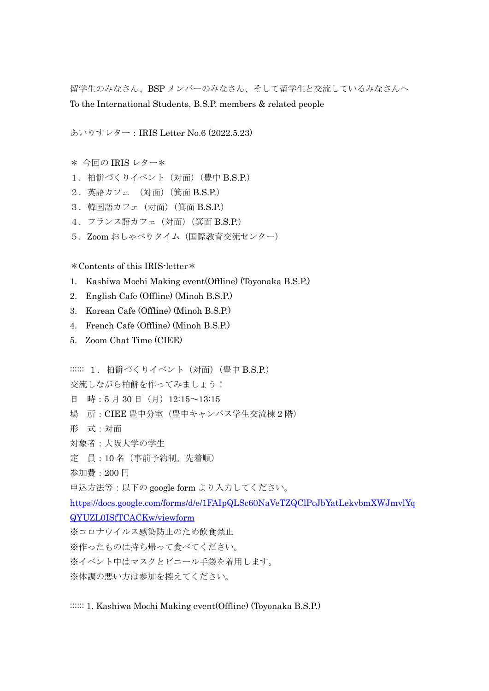留学生のみなさん、BSP メンバーのみなさん、そして留学生と交流しているみなさんへ To the International Students, B.S.P. members & related people

あいりすレター:IRIS Letter No.6 (2022.5.23)

- \* 今回の IRIS レター\*
- 1. 柏餅づくりイベント (対面) (豊中 B.S.P.)
- 2.英語カフェ (対面)(箕面 B.S.P.)
- 3.韓国語カフェ(対面)(箕面 B.S.P.)
- 4.フランス語カフェ(対面)(箕面 B.S.P.)
- 5. Zoom おしゃべりタイム (国際教育交流センター)

\*Contents of this IRIS-letter\*

- 1. Kashiwa Mochi Making event(Offline) (Toyonaka B.S.P.)
- 2. English Cafe (Offline) (Minoh B.S.P.)
- 3. Korean Cafe (Offline) (Minoh B.S.P.)
- 4. French Cafe (Offline) (Minoh B.S.P.)
- 5. Zoom Chat Time (CIEE)

::::::: 1. 柏餅づくりイベント (対面) (豊中 B.S.P.)

交流しながら柏餅を作ってみましょう!

- 日 時:5月30日(月) 12:15~13:15
- 場 所:CIEE 豊中分室(豊中キャンパス学生交流棟 2 階)
- 形 式:対面
- 対象者:大阪大学の学生
- 定 員:10 名(事前予約制。先着順)
- 参加費:200 円

申込方法等:以下の google form より入力してください。

[https://docs.google.com/forms/d/e/1FAIpQLSc60NaVeTZQClPcJbYatLekvbmXWJmvlYq](https://docs.google.com/forms/d/e/1FAIpQLSc60NaVeTZQClPcJbYatLekvbmXWJmvlYqQYUZL0ISfTCACKw/viewform) [QYUZL0ISfTCACKw/viewform](https://docs.google.com/forms/d/e/1FAIpQLSc60NaVeTZQClPcJbYatLekvbmXWJmvlYqQYUZL0ISfTCACKw/viewform)

- ※コロナウイルス感染防止のため飲食禁止
- ※作ったものは持ち帰って食べてください。
- ※イベント中はマスクとビニール手袋を着用します。
- ※体調の悪い方は参加を控えてください。

:::::: 1. Kashiwa Mochi Making event(Offline) (Toyonaka B.S.P.)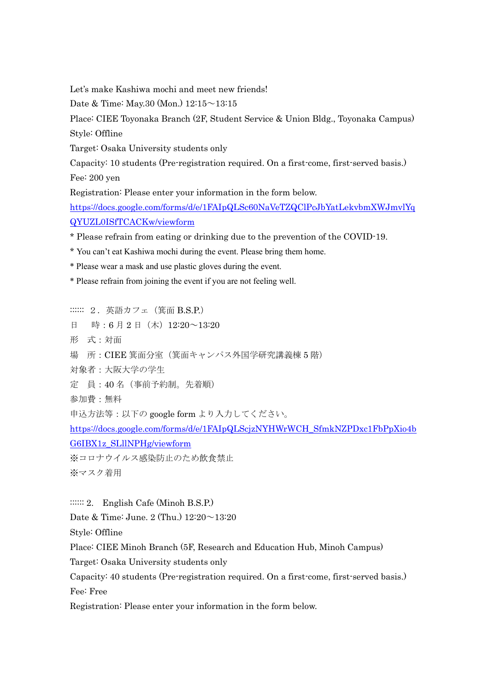Let's make Kashiwa mochi and meet new friends!

Date & Time: May.30 (Mon.) 12:15~13:15

Place: CIEE Toyonaka Branch (2F, Student Service & Union Bldg., Toyonaka Campus) Style: Offline

Target: Osaka University students only

Capacity: 10 students (Pre-registration required. On a first-come, first-served basis.) Fee: 200 yen

Registration: Please enter your information in the form below.

[https://docs.google.com/forms/d/e/1FAIpQLSc60NaVeTZQClPcJbYatLekvbmXWJmvlYq](https://docs.google.com/forms/d/e/1FAIpQLSc60NaVeTZQClPcJbYatLekvbmXWJmvlYqQYUZL0ISfTCACKw/viewform) [QYUZL0ISfTCACKw/viewform](https://docs.google.com/forms/d/e/1FAIpQLSc60NaVeTZQClPcJbYatLekvbmXWJmvlYqQYUZL0ISfTCACKw/viewform)

\* Please refrain from eating or drinking due to the prevention of the COVID-19.

\* You can't eat Kashiwa mochi during the event. Please bring them home.

\* Please wear a mask and use plastic gloves during the event.

\* Please refrain from joining the event if you are not feeling well.

:::::: 2. 英語カフェ (箕面 B.S.P.) 日 時:6月2日 (木) 12:20~13:20 形 式:対面 場 所:CIEE 箕面分室(箕面キャンパス外国学研究講義棟 5 階) 対象者:大阪大学の学生 定 員:40 名(事前予約制。先着順) 参加費:無料 申込方法等:以下の google form より入力してください。 [https://docs.google.com/forms/d/e/1FAIpQLScjzNYHWrWCH\\_SfmkNZPDxc1FbPpXio4b](https://docs.google.com/forms/d/e/1FAIpQLScjzNYHWrWCH_SfmkNZPDxc1FbPpXio4bG6IBX1z_SLllNPHg/viewform) [G6IBX1z\\_SLllNPHg/viewform](https://docs.google.com/forms/d/e/1FAIpQLScjzNYHWrWCH_SfmkNZPDxc1FbPpXio4bG6IBX1z_SLllNPHg/viewform) ※コロナウイルス感染防止のため飲食禁止 ※マスク着用

::::::: 2. English Cafe (Minoh B.S.P.)

Date & Time: June. 2 (Thu.) 12:20~13:20

Style: Offline

Place: CIEE Minoh Branch (5F, Research and Education Hub, Minoh Campus)

Target: Osaka University students only

Capacity: 40 students (Pre-registration required. On a first-come, first-served basis.) Fee: Free

Registration: Please enter your information in the form below.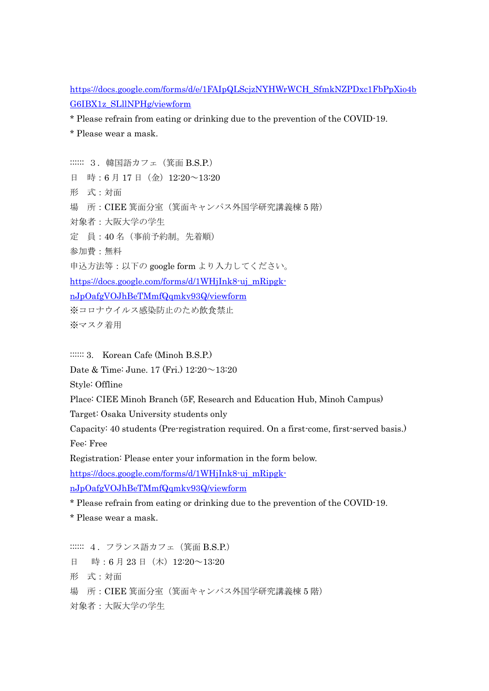[https://docs.google.com/forms/d/e/1FAIpQLScjzNYHWrWCH\\_SfmkNZPDxc1FbPpXio4b](https://docs.google.com/forms/d/e/1FAIpQLScjzNYHWrWCH_SfmkNZPDxc1FbPpXio4bG6IBX1z_SLllNPHg/viewform) [G6IBX1z\\_SLllNPHg/viewform](https://docs.google.com/forms/d/e/1FAIpQLScjzNYHWrWCH_SfmkNZPDxc1FbPpXio4bG6IBX1z_SLllNPHg/viewform)

\* Please refrain from eating or drinking due to the prevention of the COVID-19.

\* Please wear a mask.

:::::: 3. 韓国語カフェ (箕面 B.S.P.) 日 時:6月17日(金)12:20~13:20 形 式:対面 場 所:CIEE 箕面分室(箕面キャンパス外国学研究講義棟 5 階) 対象者:大阪大学の学生 定 員:40 名(事前予約制。先着順) 参加費:無料 申込方法等:以下の google form より入力してください。 [https://docs.google.com/forms/d/1WHjInk8-uj\\_mRipgk](https://docs.google.com/forms/d/1WHjInk8-uj_mRipgk-nJpOafgVOJhBeTMmfQqmkv93Q/viewform)[nJpOafgVOJhBeTMmfQqmkv93Q/viewform](https://docs.google.com/forms/d/1WHjInk8-uj_mRipgk-nJpOafgVOJhBeTMmfQqmkv93Q/viewform) ※コロナウイルス感染防止のため飲食禁止 ※マスク着用

:::::: 3. Korean Cafe (Minoh B.S.P.)

Date & Time: June. 17 (Fri.)  $12:20 \sim 13:20$ 

Style: Offline

Place: CIEE Minoh Branch (5F, Research and Education Hub, Minoh Campus)

Target: Osaka University students only

Capacity: 40 students (Pre-registration required. On a first-come, first-served basis.) Fee: Free

Registration: Please enter your information in the form below.

[https://docs.google.com/forms/d/1WHjInk8-uj\\_mRipgk-](https://docs.google.com/forms/d/1WHjInk8-uj_mRipgk-nJpOafgVOJhBeTMmfQqmkv93Q/viewformtrue)

[nJpOafgVOJhBeTMmfQqmkv93Q/viewform](https://docs.google.com/forms/d/1WHjInk8-uj_mRipgk-nJpOafgVOJhBeTMmfQqmkv93Q/viewformtrue)

\* Please refrain from eating or drinking due to the prevention of the COVID-19.

\* Please wear a mask.

:::::: 4. フランス語カフェ (箕面 B.S.P.) 日 時:6月23日(木) 12:20~13:20 形 式:対面 場 所:CIEE 箕面分室(箕面キャンパス外国学研究講義棟 5 階) 対象者:大阪大学の学生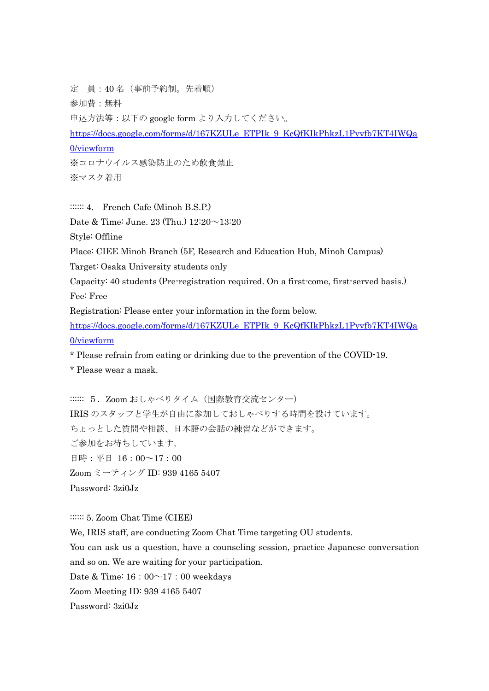定 員:40 名(事前予約制。先着順) 参加費:無料 申込方法等:以下の google form より入力してください。 [https://docs.google.com/forms/d/167KZULe\\_ETPIk\\_9\\_KcQfKIkPhkzL1Pyvfb7KT4IWQa](https://docs.google.com/forms/d/167KZULe_ETPIk_9_KcQfKIkPhkzL1Pyvfb7KT4IWQa0/viewform) [0/viewform](https://docs.google.com/forms/d/167KZULe_ETPIk_9_KcQfKIkPhkzL1Pyvfb7KT4IWQa0/viewform) ※コロナウイルス感染防止のため飲食禁止 ※マスク着用

::::::: 4. French Cafe (Minoh B.S.P.)

Date & Time: June. 23 (Thu.) 12:20~13:20

Style: Offline

Place: CIEE Minoh Branch (5F, Research and Education Hub, Minoh Campus)

Target: Osaka University students only

Capacity: 40 students (Pre-registration required. On a first-come, first-served basis.) Fee: Free

Registration: Please enter your information in the form below.

[https://docs.google.com/forms/d/167KZULe\\_ETPIk\\_9\\_KcQfKIkPhkzL1Pyvfb7KT4IWQa](https://docs.google.com/forms/d/167KZULe_ETPIk_9_KcQfKIkPhkzL1Pyvfb7KT4IWQa0/viewform) [0/viewform](https://docs.google.com/forms/d/167KZULe_ETPIk_9_KcQfKIkPhkzL1Pyvfb7KT4IWQa0/viewform)

\* Please refrain from eating or drinking due to the prevention of the COVID-19.

\* Please wear a mask.

::::::: 5. Zoom おしゃべりタイム (国際教育交流センター) IRIS のスタッフと学生が自由に参加しておしゃべりする時間を設けています。 ちょっとした質問や相談、日本語の会話の練習などができます。 ご参加をお待ちしています。 日時:平日 16:00~17:00 Zoom ミーティング ID: 939 4165 5407 Password: 3zi0Jz

:::::: 5. Zoom Chat Time (CIEE)

We, IRIS staff, are conducting Zoom Chat Time targeting OU students.

You can ask us a question, have a counseling session, practice Japanese conversation and so on. We are waiting for your participation.

Date & Time:  $16:00^\sim 17:00$  weekdays

Zoom Meeting ID: 939 4165 5407

Password: 3zi0Jz